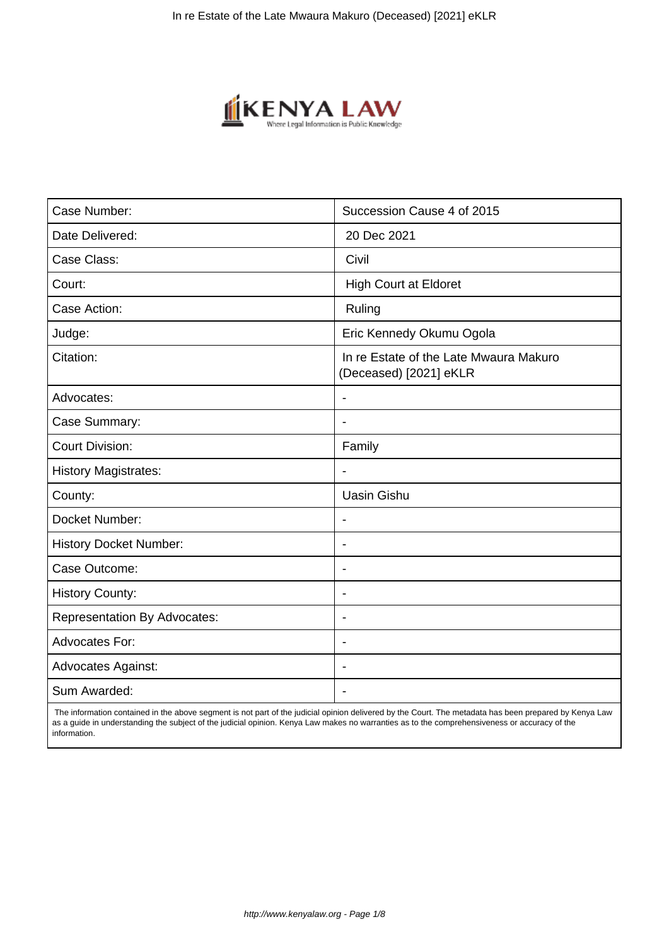

| Case Number:                        | Succession Cause 4 of 2015                                       |
|-------------------------------------|------------------------------------------------------------------|
| Date Delivered:                     | 20 Dec 2021                                                      |
| Case Class:                         | Civil                                                            |
| Court:                              | <b>High Court at Eldoret</b>                                     |
| Case Action:                        | Ruling                                                           |
| Judge:                              | Eric Kennedy Okumu Ogola                                         |
| Citation:                           | In re Estate of the Late Mwaura Makuro<br>(Deceased) [2021] eKLR |
| Advocates:                          |                                                                  |
| Case Summary:                       |                                                                  |
| <b>Court Division:</b>              | Family                                                           |
| <b>History Magistrates:</b>         | $\blacksquare$                                                   |
| County:                             | <b>Uasin Gishu</b>                                               |
| Docket Number:                      |                                                                  |
| <b>History Docket Number:</b>       | $\overline{\phantom{a}}$                                         |
| Case Outcome:                       | $\overline{\phantom{0}}$                                         |
| <b>History County:</b>              | $\overline{\phantom{a}}$                                         |
| <b>Representation By Advocates:</b> | $\blacksquare$                                                   |
| <b>Advocates For:</b>               | $\blacksquare$                                                   |
| <b>Advocates Against:</b>           | $\blacksquare$                                                   |
| Sum Awarded:                        |                                                                  |

 The information contained in the above segment is not part of the judicial opinion delivered by the Court. The metadata has been prepared by Kenya Law as a guide in understanding the subject of the judicial opinion. Kenya Law makes no warranties as to the comprehensiveness or accuracy of the information.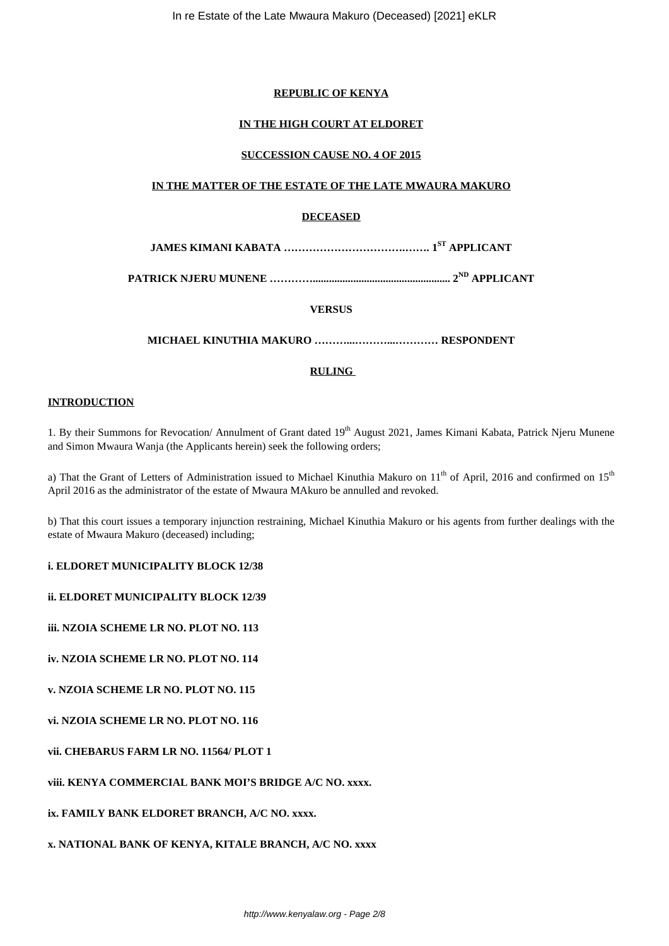# **REPUBLIC OF KENYA**

# **IN THE HIGH COURT AT ELDORET**

# **SUCCESSION CAUSE NO. 4 OF 2015**

# **IN THE MATTER OF THE ESTATE OF THE LATE MWAURA MAKURO**

# **DECEASED**

**JAMES KIMANI KABATA …………………………….……. 1ST APPLICANT**

**PATRICK NJERU MUNENE …………................................................... 2ND APPLICANT**

**VERSUS**

**MICHAEL KINUTHIA MAKURO ………...………...………… RESPONDENT**

# **RULING**

## **INTRODUCTION**

1. By their Summons for Revocation/ Annulment of Grant dated 19<sup>th</sup> August 2021, James Kimani Kabata, Patrick Njeru Munene and Simon Mwaura Wanja (the Applicants herein) seek the following orders;

a) That the Grant of Letters of Administration issued to Michael Kinuthia Makuro on  $11<sup>th</sup>$  of April, 2016 and confirmed on  $15<sup>th</sup>$ April 2016 as the administrator of the estate of Mwaura MAkuro be annulled and revoked.

b) That this court issues a temporary injunction restraining, Michael Kinuthia Makuro or his agents from further dealings with the estate of Mwaura Makuro (deceased) including;

**i. ELDORET MUNICIPALITY BLOCK 12/38**

**ii. ELDORET MUNICIPALITY BLOCK 12/39**

**iii. NZOIA SCHEME LR NO. PLOT NO. 113**

**iv. NZOIA SCHEME LR NO. PLOT NO. 114**

**v. NZOIA SCHEME LR NO. PLOT NO. 115**

**vi. NZOIA SCHEME LR NO. PLOT NO. 116**

**vii. CHEBARUS FARM LR NO. 11564/ PLOT 1**

**viii. KENYA COMMERCIAL BANK MOI'S BRIDGE A/C NO. xxxx.**

**ix. FAMILY BANK ELDORET BRANCH, A/C NO. xxxx.**

**x. NATIONAL BANK OF KENYA, KITALE BRANCH, A/C NO. xxxx**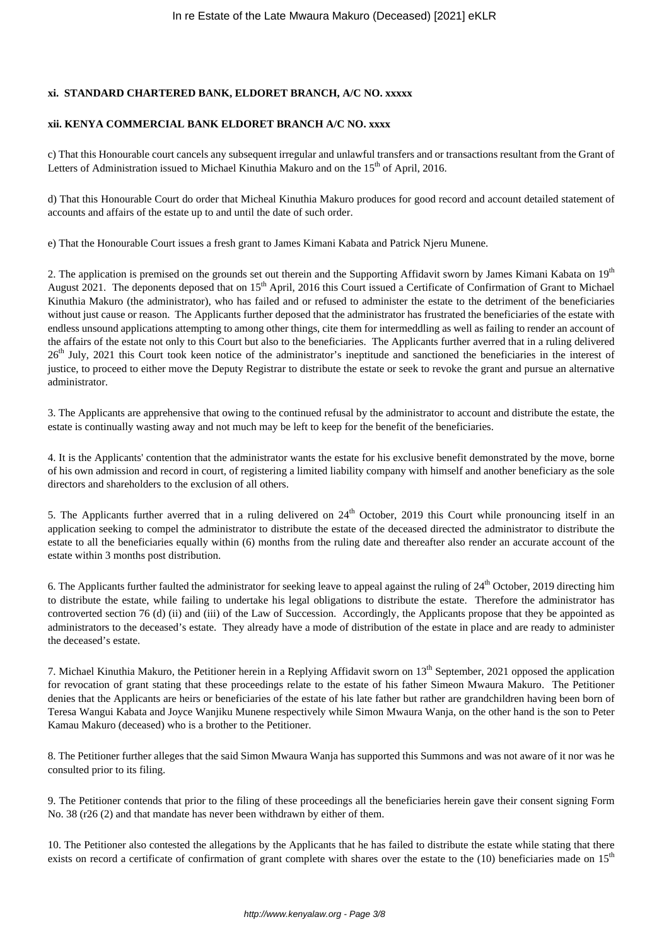# **xi. STANDARD CHARTERED BANK, ELDORET BRANCH, A/C NO. xxxxx**

# **xii. KENYA COMMERCIAL BANK ELDORET BRANCH A/C NO. xxxx**

c) That this Honourable court cancels any subsequent irregular and unlawful transfers and or transactions resultant from the Grant of Letters of Administration issued to Michael Kinuthia Makuro and on the 15<sup>th</sup> of April, 2016.

d) That this Honourable Court do order that Micheal Kinuthia Makuro produces for good record and account detailed statement of accounts and affairs of the estate up to and until the date of such order.

e) That the Honourable Court issues a fresh grant to James Kimani Kabata and Patrick Njeru Munene.

2. The application is premised on the grounds set out therein and the Supporting Affidavit sworn by James Kimani Kabata on 19<sup>th</sup> August 2021. The deponents deposed that on 15<sup>th</sup> April, 2016 this Court issued a Certificate of Confirmation of Grant to Michael Kinuthia Makuro (the administrator), who has failed and or refused to administer the estate to the detriment of the beneficiaries without just cause or reason. The Applicants further deposed that the administrator has frustrated the beneficiaries of the estate with endless unsound applications attempting to among other things, cite them for intermeddling as well as failing to render an account of the affairs of the estate not only to this Court but also to the beneficiaries. The Applicants further averred that in a ruling delivered 26<sup>th</sup> July, 2021 this Court took keen notice of the administrator's ineptitude and sanctioned the beneficiaries in the interest of justice, to proceed to either move the Deputy Registrar to distribute the estate or seek to revoke the grant and pursue an alternative administrator.

3. The Applicants are apprehensive that owing to the continued refusal by the administrator to account and distribute the estate, the estate is continually wasting away and not much may be left to keep for the benefit of the beneficiaries.

4. It is the Applicants' contention that the administrator wants the estate for his exclusive benefit demonstrated by the move, borne of his own admission and record in court, of registering a limited liability company with himself and another beneficiary as the sole directors and shareholders to the exclusion of all others.

5. The Applicants further averred that in a ruling delivered on  $24<sup>th</sup>$  October, 2019 this Court while pronouncing itself in an application seeking to compel the administrator to distribute the estate of the deceased directed the administrator to distribute the estate to all the beneficiaries equally within (6) months from the ruling date and thereafter also render an accurate account of the estate within 3 months post distribution.

6. The Applicants further faulted the administrator for seeking leave to appeal against the ruling of  $24<sup>th</sup>$  October, 2019 directing him to distribute the estate, while failing to undertake his legal obligations to distribute the estate. Therefore the administrator has controverted section 76 (d) (ii) and (iii) of the Law of Succession. Accordingly, the Applicants propose that they be appointed as administrators to the deceased's estate. They already have a mode of distribution of the estate in place and are ready to administer the deceased's estate.

7. Michael Kinuthia Makuro, the Petitioner herein in a Replying Affidavit sworn on  $13<sup>th</sup>$  September, 2021 opposed the application for revocation of grant stating that these proceedings relate to the estate of his father Simeon Mwaura Makuro. The Petitioner denies that the Applicants are heirs or beneficiaries of the estate of his late father but rather are grandchildren having been born of Teresa Wangui Kabata and Joyce Wanjiku Munene respectively while Simon Mwaura Wanja, on the other hand is the son to Peter Kamau Makuro (deceased) who is a brother to the Petitioner.

8. The Petitioner further alleges that the said Simon Mwaura Wanja has supported this Summons and was not aware of it nor was he consulted prior to its filing.

9. The Petitioner contends that prior to the filing of these proceedings all the beneficiaries herein gave their consent signing Form No. 38 (r26 (2) and that mandate has never been withdrawn by either of them.

10. The Petitioner also contested the allegations by the Applicants that he has failed to distribute the estate while stating that there exists on record a certificate of confirmation of grant complete with shares over the estate to the (10) beneficiaries made on 15<sup>th</sup>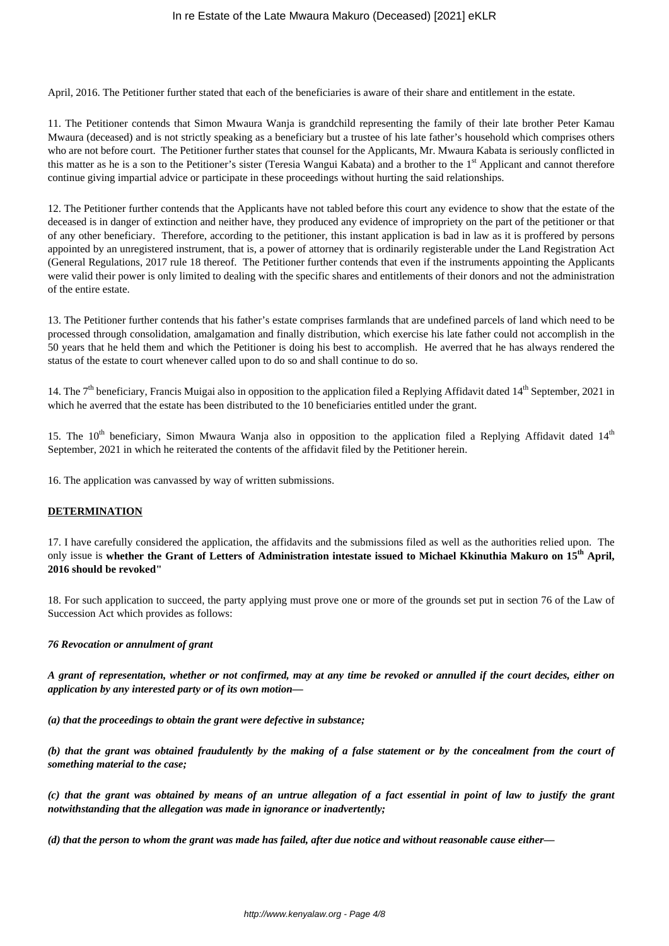April, 2016. The Petitioner further stated that each of the beneficiaries is aware of their share and entitlement in the estate.

11. The Petitioner contends that Simon Mwaura Wanja is grandchild representing the family of their late brother Peter Kamau Mwaura (deceased) and is not strictly speaking as a beneficiary but a trustee of his late father's household which comprises others who are not before court. The Petitioner further states that counsel for the Applicants, Mr. Mwaura Kabata is seriously conflicted in this matter as he is a son to the Petitioner's sister (Teresia Wangui Kabata) and a brother to the 1<sup>st</sup> Applicant and cannot therefore continue giving impartial advice or participate in these proceedings without hurting the said relationships.

12. The Petitioner further contends that the Applicants have not tabled before this court any evidence to show that the estate of the deceased is in danger of extinction and neither have, they produced any evidence of impropriety on the part of the petitioner or that of any other beneficiary. Therefore, according to the petitioner, this instant application is bad in law as it is proffered by persons appointed by an unregistered instrument, that is, a power of attorney that is ordinarily registerable under the Land Registration Act (General Regulations, 2017 rule 18 thereof. The Petitioner further contends that even if the instruments appointing the Applicants were valid their power is only limited to dealing with the specific shares and entitlements of their donors and not the administration of the entire estate.

13. The Petitioner further contends that his father's estate comprises farmlands that are undefined parcels of land which need to be processed through consolidation, amalgamation and finally distribution, which exercise his late father could not accomplish in the 50 years that he held them and which the Petitioner is doing his best to accomplish. He averred that he has always rendered the status of the estate to court whenever called upon to do so and shall continue to do so.

14. The  $7<sup>th</sup>$  beneficiary, Francis Muigai also in opposition to the application filed a Replying Affidavit dated 14<sup>th</sup> September, 2021 in which he averred that the estate has been distributed to the 10 beneficiaries entitled under the grant.

15. The  $10^{th}$  beneficiary, Simon Mwaura Wanja also in opposition to the application filed a Replying Affidavit dated  $14^{th}$ September, 2021 in which he reiterated the contents of the affidavit filed by the Petitioner herein.

16. The application was canvassed by way of written submissions.

## **DETERMINATION**

17. I have carefully considered the application, the affidavits and the submissions filed as well as the authorities relied upon. The only issue is **whether the Grant of Letters of Administration intestate issued to Michael Kkinuthia Makuro on 15th April, 2016 should be revoked"**

18. For such application to succeed, the party applying must prove one or more of the grounds set put in section 76 of the Law of Succession Act which provides as follows:

## *76 Revocation or annulment of grant*

*A grant of representation, whether or not confirmed, may at any time be revoked or annulled if the court decides, either on application by any interested party or of its own motion—*

*(a) that the proceedings to obtain the grant were defective in substance;*

*(b) that the grant was obtained fraudulently by the making of a false statement or by the concealment from the court of something material to the case;*

*(c) that the grant was obtained by means of an untrue allegation of a fact essential in point of law to justify the grant notwithstanding that the allegation was made in ignorance or inadvertently;*

*(d) that the person to whom the grant was made has failed, after due notice and without reasonable cause either—*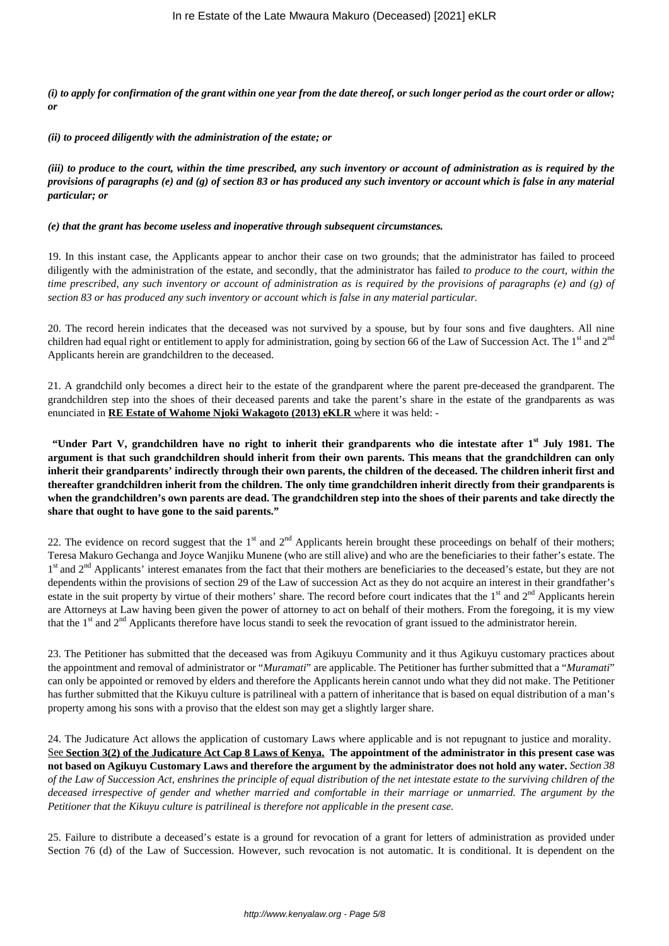*(i) to apply for confirmation of the grant within one year from the date thereof, or such longer period as the court order or allow; or*

*(ii) to proceed diligently with the administration of the estate; or*

*(iii) to produce to the court, within the time prescribed, any such inventory or account of administration as is required by the provisions of paragraphs (e) and (g) of section 83 or has produced any such inventory or account which is false in any material particular; or*

#### *(e) that the grant has become useless and inoperative through subsequent circumstances.*

19. In this instant case, the Applicants appear to anchor their case on two grounds; that the administrator has failed to proceed diligently with the administration of the estate, and secondly, that the administrator has failed *to produce to the court, within the time prescribed, any such inventory or account of administration as is required by the provisions of paragraphs (e) and (g) of section 83 or has produced any such inventory or account which is false in any material particular.*

20. The record herein indicates that the deceased was not survived by a spouse, but by four sons and five daughters. All nine children had equal right or entitlement to apply for administration, going by section 66 of the Law of Succession Act. The 1<sup>st</sup> and 2<sup>nd</sup> Applicants herein are grandchildren to the deceased.

21. A grandchild only becomes a direct heir to the estate of the grandparent where the parent pre-deceased the grandparent. The grandchildren step into the shoes of their deceased parents and take the parent's share in the estate of the grandparents as was enunciated in **RE Estate of Wahome Njoki Wakagoto (2013) eKLR** where it was held: -

**"Under Part V, grandchildren have no right to inherit their grandparents who die intestate after 1st July 1981. The argument is that such grandchildren should inherit from their own parents. This means that the grandchildren can only inherit their grandparents' indirectly through their own parents, the children of the deceased. The children inherit first and thereafter grandchildren inherit from the children. The only time grandchildren inherit directly from their grandparents is when the grandchildren's own parents are dead. The grandchildren step into the shoes of their parents and take directly the share that ought to have gone to the said parents."**

22. The evidence on record suggest that the 1<sup>st</sup> and  $2<sup>nd</sup>$  Applicants herein brought these proceedings on behalf of their mothers; Teresa Makuro Gechanga and Joyce Wanjiku Munene (who are still alive) and who are the beneficiaries to their father's estate. The 1<sup>st</sup> and 2<sup>nd</sup> Applicants' interest emanates from the fact that their mothers are beneficiaries to the deceased's estate, but they are not dependents within the provisions of section 29 of the Law of succession Act as they do not acquire an interest in their grandfather's estate in the suit property by virtue of their mothers' share. The record before court indicates that the  $1<sup>st</sup>$  and  $2<sup>nd</sup>$  Applicants herein are Attorneys at Law having been given the power of attorney to act on behalf of their mothers. From the foregoing, it is my view that the 1<sup>st</sup> and 2<sup>nd</sup> Applicants therefore have locus standi to seek the revocation of grant issued to the administrator herein.

23. The Petitioner has submitted that the deceased was from Agikuyu Community and it thus Agikuyu customary practices about the appointment and removal of administrator or "*Muramati*" are applicable. The Petitioner has further submitted that a "*Muramati*" can only be appointed or removed by elders and therefore the Applicants herein cannot undo what they did not make. The Petitioner has further submitted that the Kikuyu culture is patrilineal with a pattern of inheritance that is based on equal distribution of a man's property among his sons with a proviso that the eldest son may get a slightly larger share.

24. The Judicature Act allows the application of customary Laws where applicable and is not repugnant to justice and morality. See **Section 3(2) of the Judicature Act Cap 8 Laws of Kenya. The appointment of the administrator in this present case was not based on Agikuyu Customary Laws and therefore the argument by the administrator does not hold any water.** *Section 38 of the Law of Succession Act, enshrines the principle of equal distribution of the net intestate estate to the surviving children of the deceased irrespective of gender and whether married and comfortable in their marriage or unmarried. The argument by the Petitioner that the Kikuyu culture is patrilineal is therefore not applicable in the present case.*

25. Failure to distribute a deceased's estate is a ground for revocation of a grant for letters of administration as provided under Section 76 (d) of the Law of Succession. However, such revocation is not automatic. It is conditional. It is dependent on the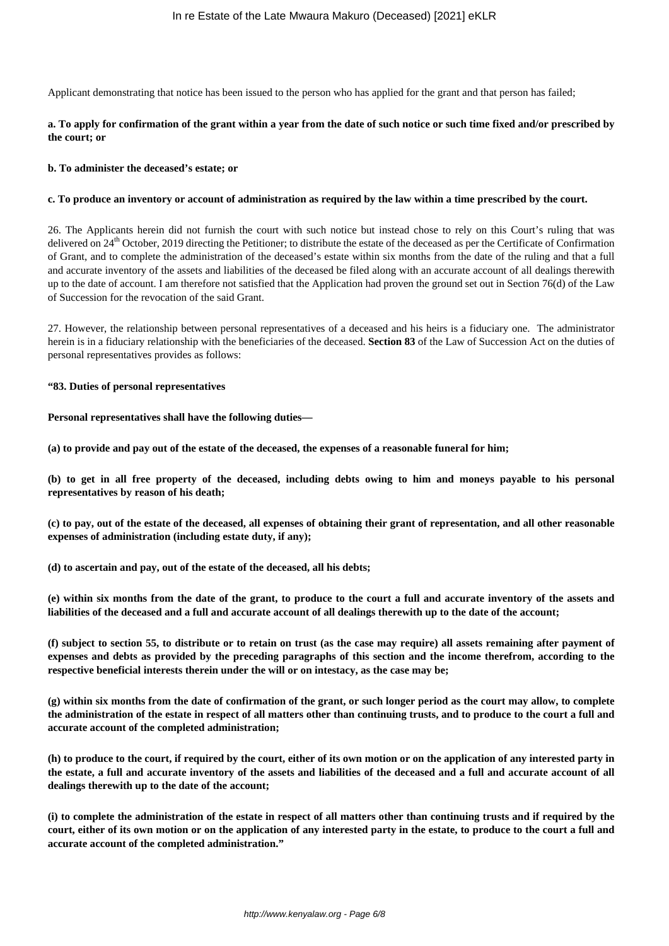Applicant demonstrating that notice has been issued to the person who has applied for the grant and that person has failed;

# **a. To apply for confirmation of the grant within a year from the date of such notice or such time fixed and/or prescribed by the court; or**

### **b. To administer the deceased's estate; or**

### **c. To produce an inventory or account of administration as required by the law within a time prescribed by the court.**

26. The Applicants herein did not furnish the court with such notice but instead chose to rely on this Court's ruling that was delivered on 24<sup>th</sup> October, 2019 directing the Petitioner; to distribute the estate of the deceased as per the Certificate of Confirmation of Grant, and to complete the administration of the deceased's estate within six months from the date of the ruling and that a full and accurate inventory of the assets and liabilities of the deceased be filed along with an accurate account of all dealings therewith up to the date of account. I am therefore not satisfied that the Application had proven the ground set out in Section 76(d) of the Law of Succession for the revocation of the said Grant.

27. However, the relationship between personal representatives of a deceased and his heirs is a fiduciary one. The administrator herein is in a fiduciary relationship with the beneficiaries of the deceased. **Section 83** of the Law of Succession Act on the duties of personal representatives provides as follows:

### **"83. Duties of personal representatives**

### **Personal representatives shall have the following duties—**

**(a) to provide and pay out of the estate of the deceased, the expenses of a reasonable funeral for him;**

**(b) to get in all free property of the deceased, including debts owing to him and moneys payable to his personal representatives by reason of his death;**

**(c) to pay, out of the estate of the deceased, all expenses of obtaining their grant of representation, and all other reasonable expenses of administration (including estate duty, if any);**

**(d) to ascertain and pay, out of the estate of the deceased, all his debts;**

**(e) within six months from the date of the grant, to produce to the court a full and accurate inventory of the assets and liabilities of the deceased and a full and accurate account of all dealings therewith up to the date of the account;**

**(f) subject to section 55, to distribute or to retain on trust (as the case may require) all assets remaining after payment of expenses and debts as provided by the preceding paragraphs of this section and the income therefrom, according to the respective beneficial interests therein under the will or on intestacy, as the case may be;**

**(g) within six months from the date of confirmation of the grant, or such longer period as the court may allow, to complete the administration of the estate in respect of all matters other than continuing trusts, and to produce to the court a full and accurate account of the completed administration;**

**(h) to produce to the court, if required by the court, either of its own motion or on the application of any interested party in the estate, a full and accurate inventory of the assets and liabilities of the deceased and a full and accurate account of all dealings therewith up to the date of the account;**

**(i) to complete the administration of the estate in respect of all matters other than continuing trusts and if required by the court, either of its own motion or on the application of any interested party in the estate, to produce to the court a full and accurate account of the completed administration."**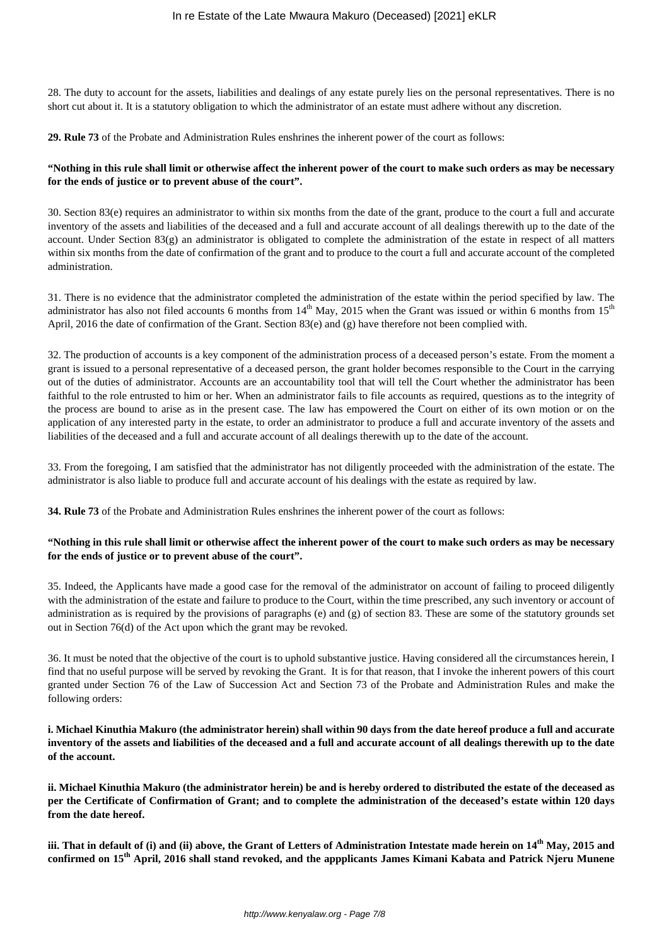28. The duty to account for the assets, liabilities and dealings of any estate purely lies on the personal representatives. There is no short cut about it. It is a statutory obligation to which the administrator of an estate must adhere without any discretion.

**29. Rule 73** of the Probate and Administration Rules enshrines the inherent power of the court as follows:

# **"Nothing in this rule shall limit or otherwise affect the inherent power of the court to make such orders as may be necessary for the ends of justice or to prevent abuse of the court".**

30. Section 83(e) requires an administrator to within six months from the date of the grant, produce to the court a full and accurate inventory of the assets and liabilities of the deceased and a full and accurate account of all dealings therewith up to the date of the account. Under Section 83(g) an administrator is obligated to complete the administration of the estate in respect of all matters within six months from the date of confirmation of the grant and to produce to the court a full and accurate account of the completed administration.

31. There is no evidence that the administrator completed the administration of the estate within the period specified by law. The administrator has also not filed accounts 6 months from  $14<sup>th</sup>$  May, 2015 when the Grant was issued or within 6 months from  $15<sup>th</sup>$ April, 2016 the date of confirmation of the Grant. Section 83(e) and (g) have therefore not been complied with.

32. The production of accounts is a key component of the administration process of a deceased person's estate. From the moment a grant is issued to a personal representative of a deceased person, the grant holder becomes responsible to the Court in the carrying out of the duties of administrator. Accounts are an accountability tool that will tell the Court whether the administrator has been faithful to the role entrusted to him or her. When an administrator fails to file accounts as required, questions as to the integrity of the process are bound to arise as in the present case. The law has empowered the Court on either of its own motion or on the application of any interested party in the estate, to order an administrator to produce a full and accurate inventory of the assets and liabilities of the deceased and a full and accurate account of all dealings therewith up to the date of the account.

33. From the foregoing, I am satisfied that the administrator has not diligently proceeded with the administration of the estate. The administrator is also liable to produce full and accurate account of his dealings with the estate as required by law.

**34. Rule 73** of the Probate and Administration Rules enshrines the inherent power of the court as follows:

## **"Nothing in this rule shall limit or otherwise affect the inherent power of the court to make such orders as may be necessary for the ends of justice or to prevent abuse of the court".**

35. Indeed, the Applicants have made a good case for the removal of the administrator on account of failing to proceed diligently with the administration of the estate and failure to produce to the Court, within the time prescribed, any such inventory or account of administration as is required by the provisions of paragraphs (e) and (g) of section 83. These are some of the statutory grounds set out in Section 76(d) of the Act upon which the grant may be revoked.

36. It must be noted that the objective of the court is to uphold substantive justice. Having considered all the circumstances herein, I find that no useful purpose will be served by revoking the Grant. It is for that reason, that I invoke the inherent powers of this court granted under Section 76 of the Law of Succession Act and Section 73 of the Probate and Administration Rules and make the following orders:

**i. Michael Kinuthia Makuro (the administrator herein) shall within 90 days from the date hereof produce a full and accurate inventory of the assets and liabilities of the deceased and a full and accurate account of all dealings therewith up to the date of the account.**

**ii. Michael Kinuthia Makuro (the administrator herein) be and is hereby ordered to distributed the estate of the deceased as per the Certificate of Confirmation of Grant; and to complete the administration of the deceased's estate within 120 days from the date hereof.**

**iii. That in default of (i) and (ii) above, the Grant of Letters of Administration Intestate made herein on 14th May, 2015 and confirmed on 15th April, 2016 shall stand revoked, and the appplicants James Kimani Kabata and Patrick Njeru Munene**